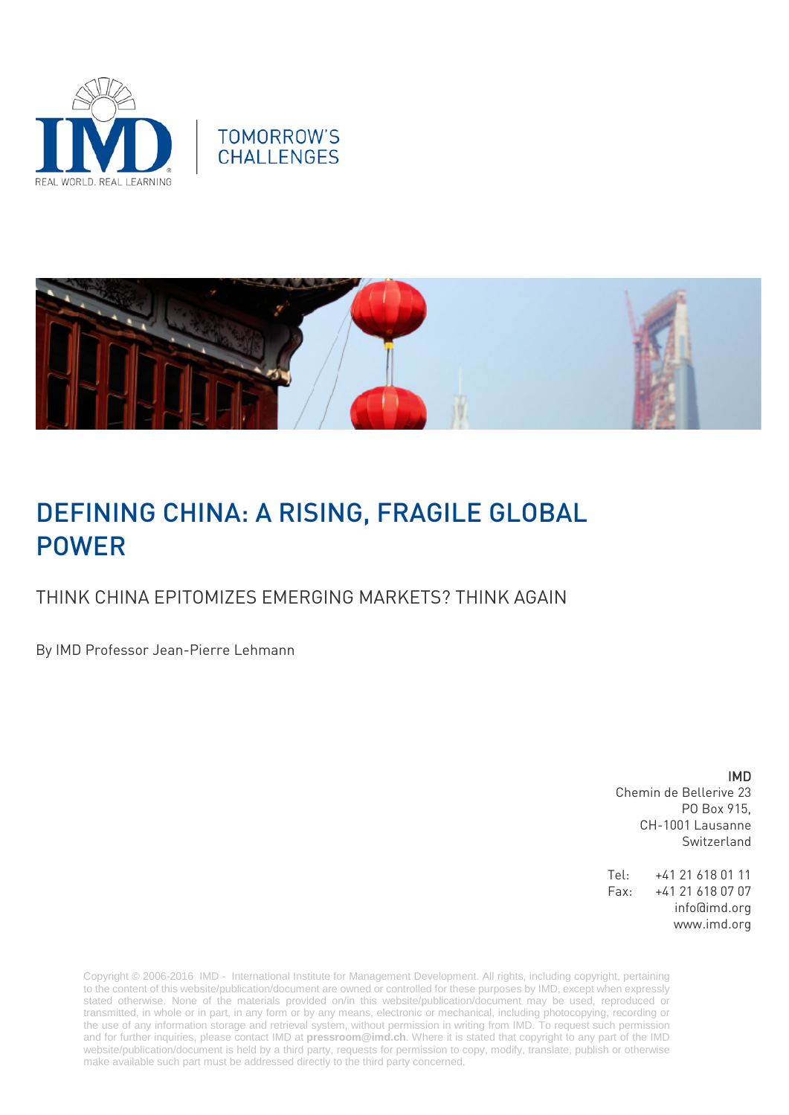





# DEFINING CHINA: A RISING, FRAGILE GLOBAL POWER

## THINK CHINA EPITOMIZES EMERGING MARKETS? THINK AGAIN

By IMD Professor Jean-Pierre Lehmann

### IMD

Chemin de Bellerive 23 PO Box 915, CH-1001 Lausanne Switzerland

Tel: +41 21 618 01 11 Fax: +41 21 618 07 07 info@imd.org www.imd.org

Copyright © 2006-2016 IMD - International Institute for Management Development. All rights, including copyright, pertaining to the content of this website/publication/document are owned or controlled for these purposes by IMD, except when expressly stated otherwise. None of the materials provided on/in this website/publication/document may be used, reproduced or transmitted, in whole or in part, in any form or by any means, electronic or mechanical, including photocopying, recording or the use of any information storage and retrieval system, without permission in writing from IMD. To request such permission and for further inquiries, please contact IMD at **[pressroom@imd.ch](mailto:pressroom@imd.ch)**. Where it is stated that copyright to any part of the IMD website/publication/document is held by a third party, requests for permission to copy, modify, translate, publish or otherwise make available such part must be addressed directly to the third party concerned.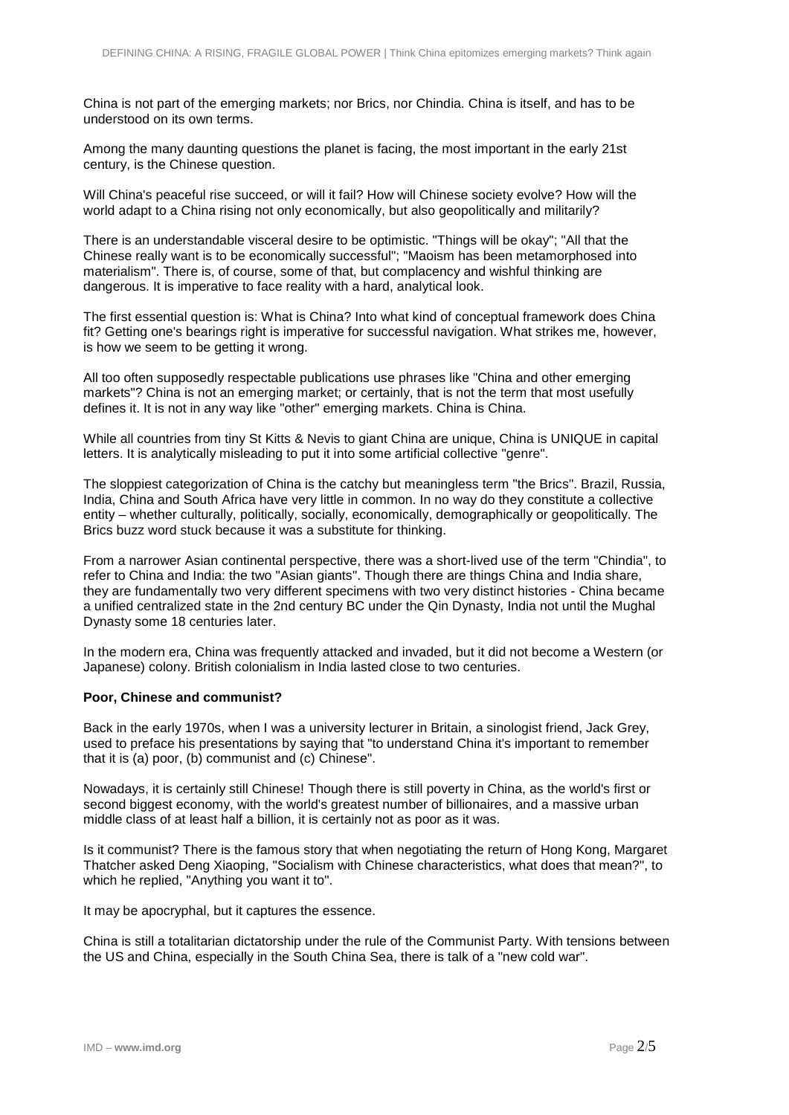China is not part of the emerging markets; nor Brics, nor Chindia. China is itself, and has to be understood on its own terms.

Among the many daunting questions the planet is facing, the most important in the early 21st century, is the Chinese question.

Will China's peaceful rise succeed, or will it fail? How will Chinese society evolve? How will the world adapt to a China rising not only economically, but also geopolitically and militarily?

There is an understandable visceral desire to be optimistic. "Things will be okay"; "All that the Chinese really want is to be economically successful"; "Maoism has been metamorphosed into materialism". There is, of course, some of that, but complacency and wishful thinking are dangerous. It is imperative to face reality with a hard, analytical look.

The first essential question is: What is China? Into what kind of conceptual framework does China fit? Getting one's bearings right is imperative for successful navigation. What strikes me, however, is how we seem to be getting it wrong.

All too often supposedly respectable publications use phrases like "China and other emerging markets"? China is not an emerging market; or certainly, that is not the term that most usefully defines it. It is not in any way like "other" emerging markets. China is China.

While all countries from tiny St Kitts & Nevis to giant China are unique, China is UNIQUE in capital letters. It is analytically misleading to put it into some artificial collective "genre".

The sloppiest categorization of China is the catchy but meaningless term "the Brics". Brazil, Russia, India, China and South Africa have very little in common. In no way do they constitute a collective entity – whether culturally, politically, socially, economically, demographically or geopolitically. The Brics buzz word stuck because it was a substitute for thinking.

From a narrower Asian continental perspective, there was a short-lived use of the term "Chindia", to refer to China and India: the two "Asian giants". Though there are things China and India share, they are fundamentally two very different specimens with two very distinct histories - China became a unified centralized state in the 2nd century BC under the Qin Dynasty, India not until the Mughal Dynasty some 18 centuries later.

In the modern era, China was frequently attacked and invaded, but it did not become a Western (or Japanese) colony. British colonialism in India lasted close to two centuries.

### **Poor, Chinese and communist?**

Back in the early 1970s, when I was a university lecturer in Britain, a sinologist friend, Jack Grey, used to preface his presentations by saying that "to understand China it's important to remember that it is (a) poor, (b) communist and (c) Chinese".

Nowadays, it is certainly still Chinese! Though there is still poverty in China, as the world's first or second biggest economy, with the world's greatest number of billionaires, and a massive urban middle class of at least half a billion, it is certainly not as poor as it was.

Is it communist? There is the famous story that when negotiating the return of Hong Kong, Margaret Thatcher asked Deng Xiaoping, "Socialism with Chinese characteristics, what does that mean?", to which he replied. "Anything you want it to".

It may be apocryphal, but it captures the essence.

China is still a totalitarian dictatorship under the rule of the Communist Party. With tensions between the US and China, especially in the South China Sea, there is talk of a "new cold war".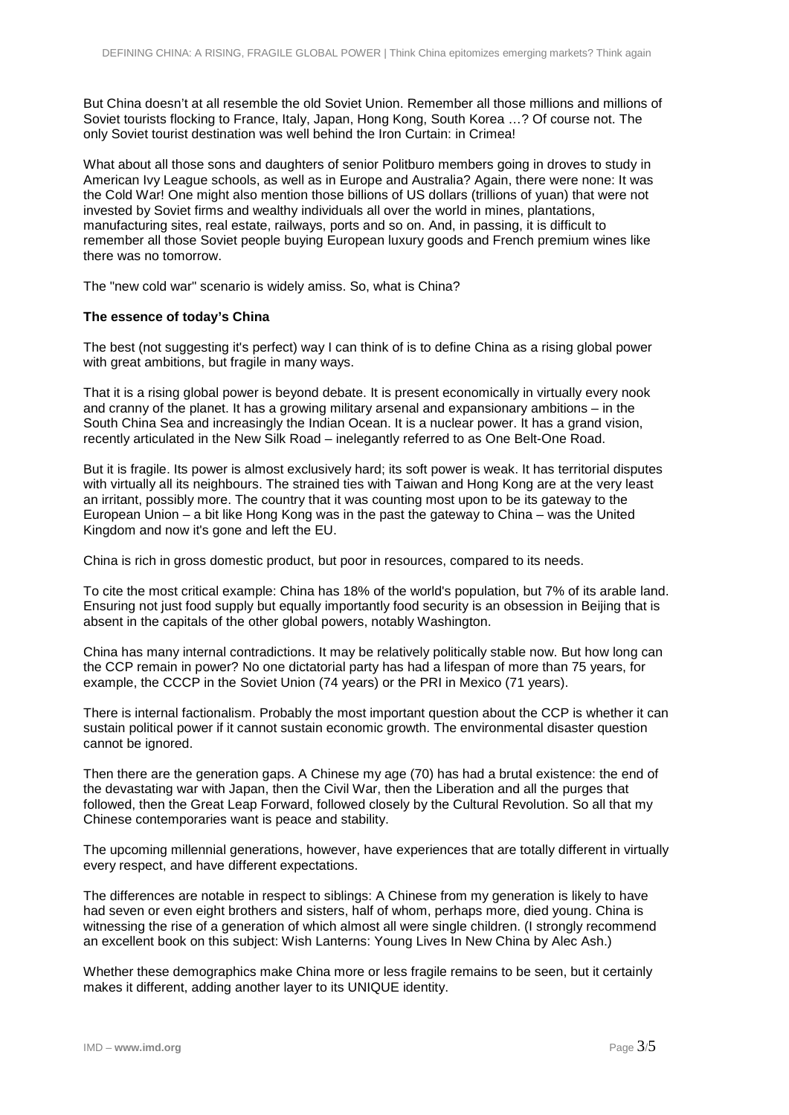But China doesn't at all resemble the old Soviet Union. Remember all those millions and millions of Soviet tourists flocking to France, Italy, Japan, Hong Kong, South Korea …? Of course not. The only Soviet tourist destination was well behind the Iron Curtain: in Crimea!

What about all those sons and daughters of senior Politburo members going in droves to study in American Ivy League schools, as well as in Europe and Australia? Again, there were none: It was the Cold War! One might also mention those billions of US dollars (trillions of yuan) that were not invested by Soviet firms and wealthy individuals all over the world in mines, plantations, manufacturing sites, real estate, railways, ports and so on. And, in passing, it is difficult to remember all those Soviet people buying European luxury goods and French premium wines like there was no tomorrow.

The "new cold war" scenario is widely amiss. So, what is China?

## **The essence of today's China**

The best (not suggesting it's perfect) way I can think of is to define China as a rising global power with great ambitions, but fragile in many ways.

That it is a rising global power is beyond debate. It is present economically in virtually every nook and cranny of the planet. It has a growing military arsenal and expansionary ambitions – in the South China Sea and increasingly the Indian Ocean. It is a nuclear power. It has a grand vision, recently articulated in the New Silk Road – inelegantly referred to as One Belt-One Road.

But it is fragile. Its power is almost exclusively hard; its soft power is weak. It has territorial disputes with virtually all its neighbours. The strained ties with Taiwan and Hong Kong are at the very least an irritant, possibly more. The country that it was counting most upon to be its gateway to the European Union – a bit like Hong Kong was in the past the gateway to China – was the United Kingdom and now it's gone and left the EU.

China is rich in gross domestic product, but poor in resources, compared to its needs.

To cite the most critical example: China has 18% of the world's population, but 7% of its arable land. Ensuring not just food supply but equally importantly food security is an obsession in Beijing that is absent in the capitals of the other global powers, notably Washington.

China has many internal contradictions. It may be relatively politically stable now. But how long can the CCP remain in power? No one dictatorial party has had a lifespan of more than 75 years, for example, the CCCP in the Soviet Union (74 years) or the PRI in Mexico (71 years).

There is internal factionalism. Probably the most important question about the CCP is whether it can sustain political power if it cannot sustain economic growth. The environmental disaster question cannot be ignored.

Then there are the generation gaps. A Chinese my age (70) has had a brutal existence: the end of the devastating war with Japan, then the Civil War, then the Liberation and all the purges that followed, then the Great Leap Forward, followed closely by the Cultural Revolution. So all that my Chinese contemporaries want is peace and stability.

The upcoming millennial generations, however, have experiences that are totally different in virtually every respect, and have different expectations.

The differences are notable in respect to siblings: A Chinese from my generation is likely to have had seven or even eight brothers and sisters, half of whom, perhaps more, died young. China is witnessing the rise of a generation of which almost all were single children. (I strongly recommend an excellent book on this subject: Wish Lanterns: Young Lives In New China by Alec Ash.)

Whether these demographics make China more or less fragile remains to be seen, but it certainly makes it different, adding another layer to its UNIQUE identity.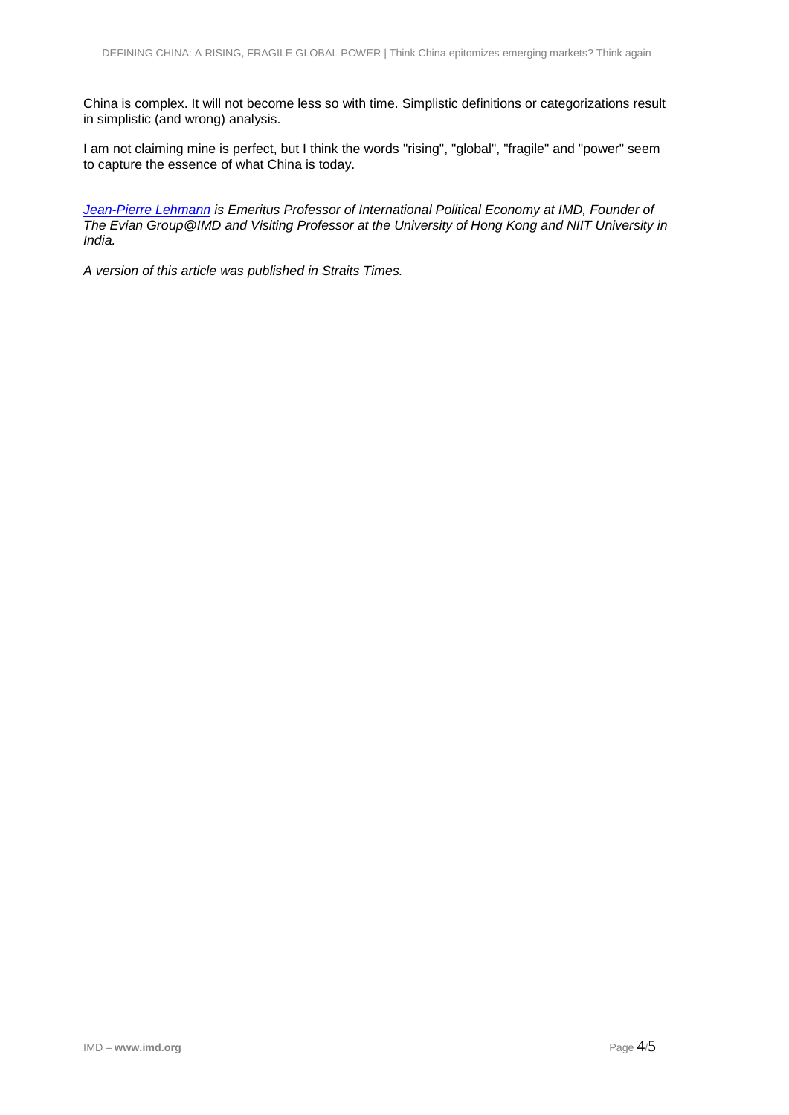China is complex. It will not become less so with time. Simplistic definitions or categorizations result in simplistic (and wrong) analysis.

I am not claiming mine is perfect, but I think the words "rising", "global", "fragile" and "power" seem to capture the essence of what China is today.

*[Jean-Pierre Lehmann](http://www.imd.org/lehmann) is Emeritus Professor of International Political Economy at IMD, Founder of The Evian Group@IMD and Visiting Professor at the University of Hong Kong and NIIT University in India.*

*A version of this article was published in Straits Times.*